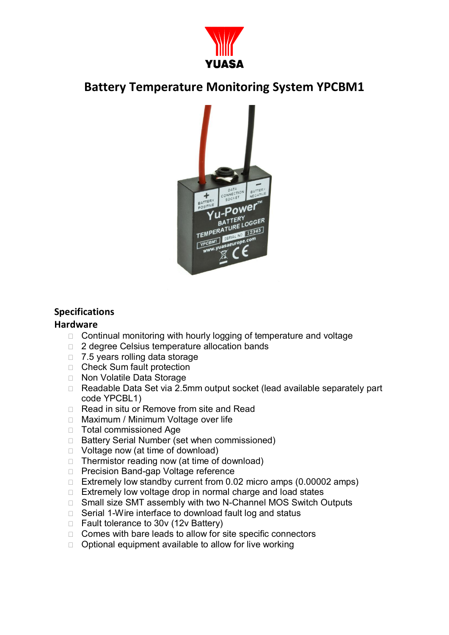

## **Battery Temperature Monitoring System YPCBM1**



### **Specifications**

#### **Hardware**

- $\Box$  Continual monitoring with hourly logging of temperature and voltage
- □ 2 degree Celsius temperature allocation bands
- $\Box$  7.5 years rolling data storage
- □ Check Sum fault protection
- □ Non Volatile Data Storage
- □ Readable Data Set via 2.5mm output socket (lead available separately part code YPCBL1)
- $\Box$  Read in situ or Remove from site and Read
- □ Maximum / Minimum Voltage over life
- **Total commissioned Age**
- □ Battery Serial Number (set when commissioned)
- $\Box$  Voltage now (at time of download)
- $\Box$  Thermistor reading now (at time of download)
- □ Precision Band-gap Voltage reference
- $\Box$  Extremely low standby current from 0.02 micro amps (0.00002 amps)
- $\Box$  Extremely low voltage drop in normal charge and load states
- □ Small size SMT assembly with two N-Channel MOS Switch Outputs
- $\Box$  Serial 1-Wire interface to download fault log and status
- $\Box$  Fault tolerance to 30v (12v Battery)
- $\Box$  Comes with bare leads to allow for site specific connectors
- $\Box$  Optional equipment available to allow for live working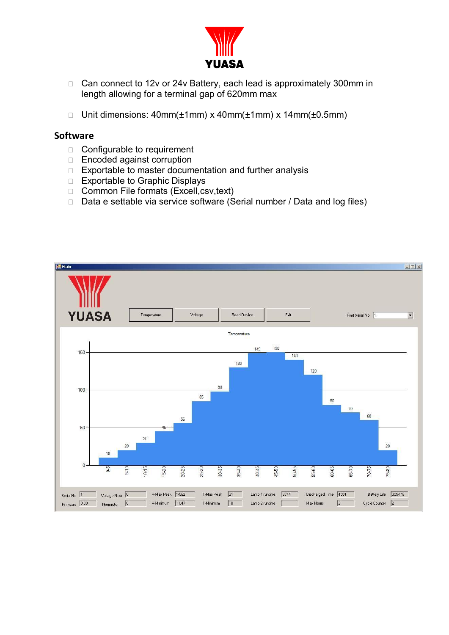

- □ Can connect to 12v or 24v Battery, each lead is approximately 300mm in length allowing for a terminal gap of 620mm max
- □ Unit dimensions: 40mm( $±1$ mm) x 40mm( $±1$ mm) x 14mm( $±0.5$ mm)

#### **Software**

- □ Configurable to requirement
- □ Encoded against corruption
- $\Box$  Exportable to master documentation and further analysis
- □ Exportable to Graphic Displays
- □ Common File formats (Excell, csv, text)
- $\Box$  Data e settable via service software (Serial number / Data and log files)

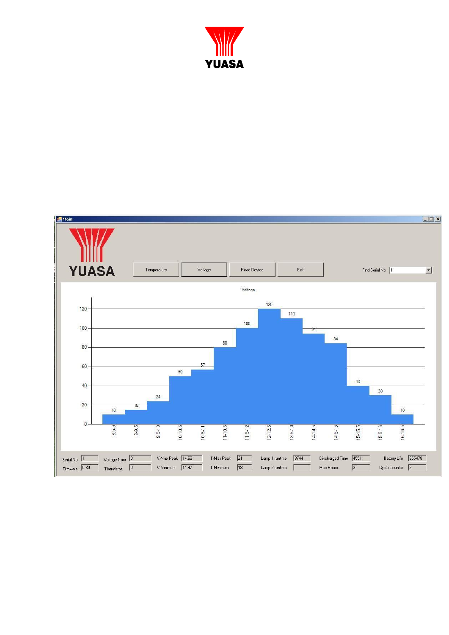

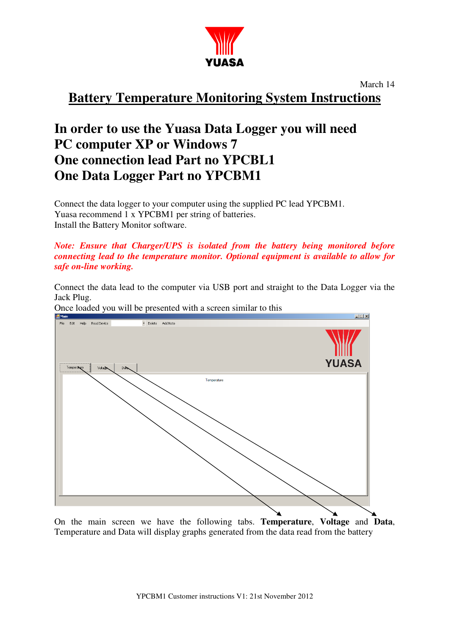

March 14

**Battery Temperature Monitoring System Instructions** 

# **In order to use the Yuasa Data Logger you will need PC computer XP or Windows 7 One connection lead Part no YPCBL1 One Data Logger Part no YPCBM1**

Connect the data logger to your computer using the supplied PC lead YPCBM1. Yuasa recommend 1 x YPCBM1 per string of batteries. Install the Battery Monitor software.

*Note: Ensure that Charger/UPS is isolated from the battery being monitored before connecting lead to the temperature monitor. Optional equipment is available to allow for safe on-line working.*

Connect the data lead to the computer via USB port and straight to the Data Logger via the Jack Plug.



Once loaded you will be presented with a screen similar to this

On the main screen we have the following tabs. **Temperature**, **Voltage** and **Data**, Temperature and Data will display graphs generated from the data read from the battery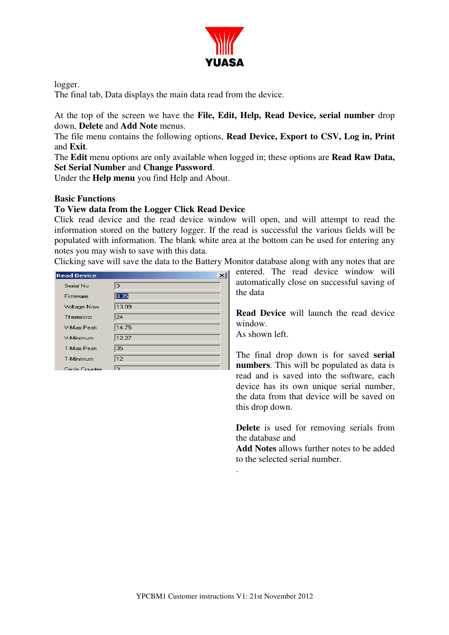

logger.

The final tab, Data displays the main data read from the device.

At the top of the screen we have the **File, Edit, Help, Read Device, serial number** drop down, **Delete** and **Add Note** menus.

The file menu contains the following options, **Read Device, Export to CSV, Log in, Print**  and **Exit**.

The **Edit** menu options are only available when logged in; these options are **Read Raw Data, Set Serial Number** and **Change Password**.

Under the **Help menu** you find Help and About.

#### **Basic Functions**

#### **To View data from the Logger Click Read Device**

Click read device and the read device window will open, and will attempt to read the information stored on the battery logger. If the read is successful the various fields will be populated with information. The blank white area at the bottom can be used for entering any notes you may wish to save with this data.

Clicking save will save the data to the Battery Monitor database along with any notes that are

entered. The read device window will automatically close on successful saving of the data

**Read Device** will launch the read device window. As shown left.

The final drop down is for saved **serial numbers**. This will be populated as data is read and is saved into the software, each device has its own unique serial number, the data from that device will be saved on this drop down.

**Delete** is used for removing serials from the database and

**Add Notes** allows further notes to be added to the selected serial number.

.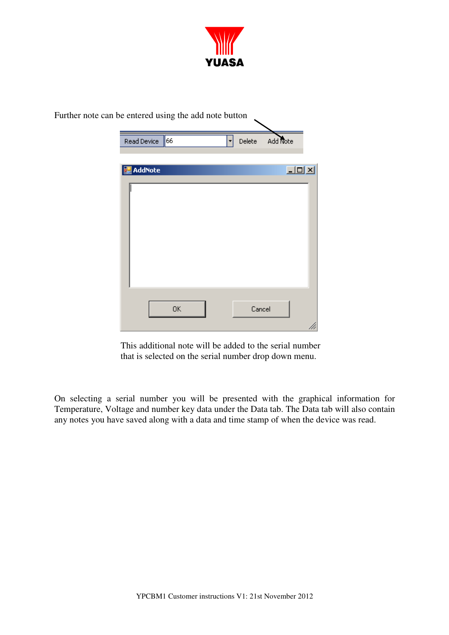

| Further note can be entered using the add note button |                  |    |             |          |  |
|-------------------------------------------------------|------------------|----|-------------|----------|--|
|                                                       | Read Device      | 66 | Delete<br>۰ | Add Note |  |
|                                                       | <b>M</b> AddNote |    |             | $\Box$   |  |
|                                                       |                  |    |             |          |  |
|                                                       |                  | OK |             | Cancel   |  |

This additional note will be added to the serial number that is selected on the serial number drop down menu.

On selecting a serial number you will be presented with the graphical information for Temperature, Voltage and number key data under the Data tab. The Data tab will also contain any notes you have saved along with a data and time stamp of when the device was read.